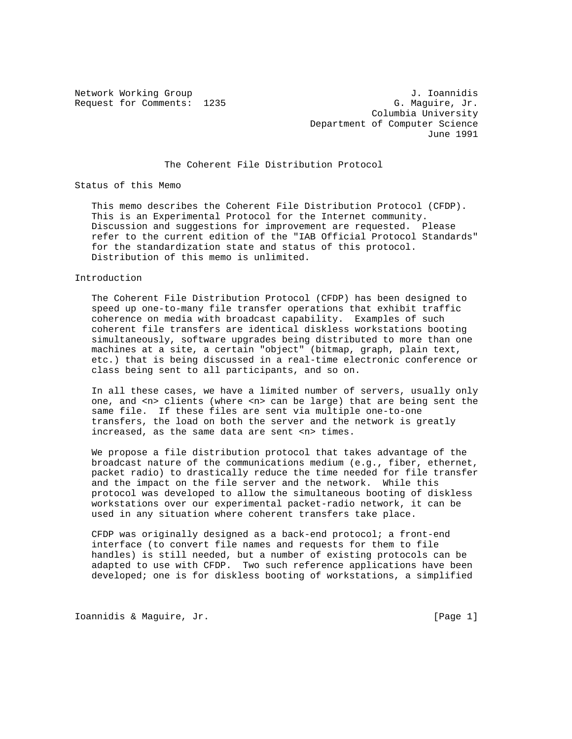Request for Comments: 1235

Network Working Group<br>Request for Comments: 1235 G. Maquire, Jr. Columbia University Department of Computer Science June 1991

## The Coherent File Distribution Protocol

Status of this Memo

 This memo describes the Coherent File Distribution Protocol (CFDP). This is an Experimental Protocol for the Internet community. Discussion and suggestions for improvement are requested. Please refer to the current edition of the "IAB Official Protocol Standards" for the standardization state and status of this protocol. Distribution of this memo is unlimited.

#### Introduction

 The Coherent File Distribution Protocol (CFDP) has been designed to speed up one-to-many file transfer operations that exhibit traffic coherence on media with broadcast capability. Examples of such coherent file transfers are identical diskless workstations booting simultaneously, software upgrades being distributed to more than one machines at a site, a certain "object" (bitmap, graph, plain text, etc.) that is being discussed in a real-time electronic conference or class being sent to all participants, and so on.

 In all these cases, we have a limited number of servers, usually only one, and <n> clients (where <n> can be large) that are being sent the same file. If these files are sent via multiple one-to-one transfers, the load on both the server and the network is greatly increased, as the same data are sent <n> times.

 We propose a file distribution protocol that takes advantage of the broadcast nature of the communications medium (e.g., fiber, ethernet, packet radio) to drastically reduce the time needed for file transfer and the impact on the file server and the network. While this protocol was developed to allow the simultaneous booting of diskless workstations over our experimental packet-radio network, it can be used in any situation where coherent transfers take place.

 CFDP was originally designed as a back-end protocol; a front-end interface (to convert file names and requests for them to file handles) is still needed, but a number of existing protocols can be adapted to use with CFDP. Two such reference applications have been developed; one is for diskless booting of workstations, a simplified

Ioannidis & Maguire, Jr. [Page 1]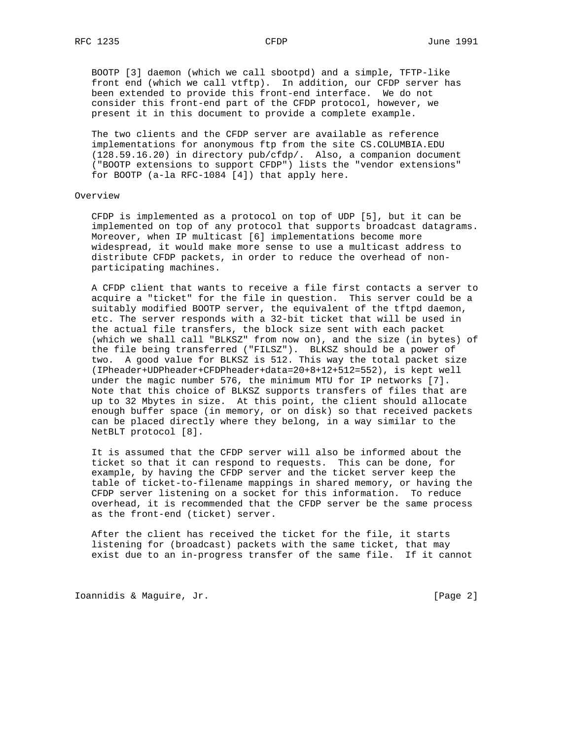BOOTP [3] daemon (which we call sbootpd) and a simple, TFTP-like front end (which we call vtftp). In addition, our CFDP server has been extended to provide this front-end interface. We do not consider this front-end part of the CFDP protocol, however, we present it in this document to provide a complete example.

 The two clients and the CFDP server are available as reference implementations for anonymous ftp from the site CS.COLUMBIA.EDU (128.59.16.20) in directory pub/cfdp/. Also, a companion document ("BOOTP extensions to support CFDP") lists the "vendor extensions" for BOOTP (a-la RFC-1084 [4]) that apply here.

### Overview

 CFDP is implemented as a protocol on top of UDP [5], but it can be implemented on top of any protocol that supports broadcast datagrams. Moreover, when IP multicast [6] implementations become more widespread, it would make more sense to use a multicast address to distribute CFDP packets, in order to reduce the overhead of non participating machines.

 A CFDP client that wants to receive a file first contacts a server to acquire a "ticket" for the file in question. This server could be a suitably modified BOOTP server, the equivalent of the tftpd daemon, etc. The server responds with a 32-bit ticket that will be used in the actual file transfers, the block size sent with each packet (which we shall call "BLKSZ" from now on), and the size (in bytes) of the file being transferred ("FILSZ"). BLKSZ should be a power of two. A good value for BLKSZ is 512. This way the total packet size (IPheader+UDPheader+CFDPheader+data=20+8+12+512=552), is kept well under the magic number 576, the minimum MTU for IP networks [7]. Note that this choice of BLKSZ supports transfers of files that are up to 32 Mbytes in size. At this point, the client should allocate enough buffer space (in memory, or on disk) so that received packets can be placed directly where they belong, in a way similar to the NetBLT protocol [8].

 It is assumed that the CFDP server will also be informed about the ticket so that it can respond to requests. This can be done, for example, by having the CFDP server and the ticket server keep the table of ticket-to-filename mappings in shared memory, or having the CFDP server listening on a socket for this information. To reduce overhead, it is recommended that the CFDP server be the same process as the front-end (ticket) server.

 After the client has received the ticket for the file, it starts listening for (broadcast) packets with the same ticket, that may exist due to an in-progress transfer of the same file. If it cannot

Ioannidis & Maguire, Jr. [Page 2]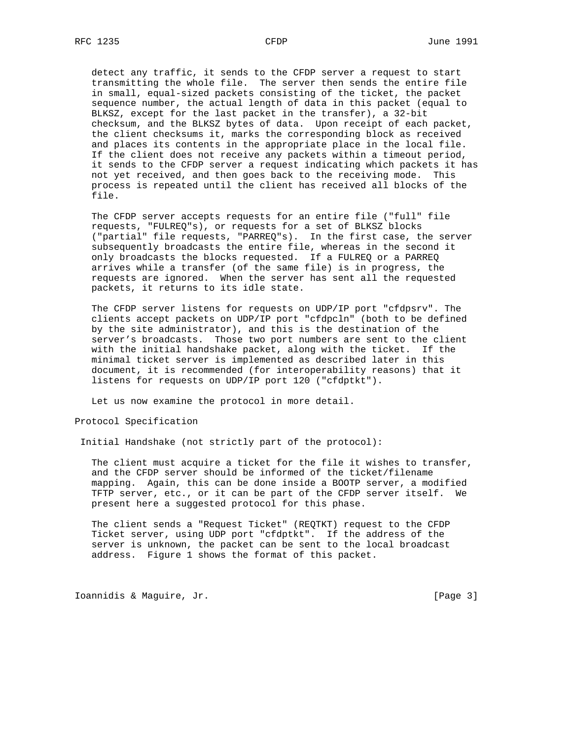detect any traffic, it sends to the CFDP server a request to start transmitting the whole file. The server then sends the entire file in small, equal-sized packets consisting of the ticket, the packet sequence number, the actual length of data in this packet (equal to BLKSZ, except for the last packet in the transfer), a 32-bit checksum, and the BLKSZ bytes of data. Upon receipt of each packet, the client checksums it, marks the corresponding block as received and places its contents in the appropriate place in the local file. If the client does not receive any packets within a timeout period, it sends to the CFDP server a request indicating which packets it has not yet received, and then goes back to the receiving mode. This process is repeated until the client has received all blocks of the file.

 The CFDP server accepts requests for an entire file ("full" file requests, "FULREQ"s), or requests for a set of BLKSZ blocks ("partial" file requests, "PARREQ"s). In the first case, the server subsequently broadcasts the entire file, whereas in the second it only broadcasts the blocks requested. If a FULREQ or a PARREQ arrives while a transfer (of the same file) is in progress, the requests are ignored. When the server has sent all the requested packets, it returns to its idle state.

The CFDP server listens for requests on UDP/IP port "cfdpsrv". The clients accept packets on UDP/IP port "cfdpcln" (both to be defined by the site administrator), and this is the destination of the server's broadcasts. Those two port numbers are sent to the client with the initial handshake packet, along with the ticket. If the minimal ticket server is implemented as described later in this document, it is recommended (for interoperability reasons) that it listens for requests on UDP/IP port 120 ("cfdptkt").

Let us now examine the protocol in more detail.

Protocol Specification

Initial Handshake (not strictly part of the protocol):

 The client must acquire a ticket for the file it wishes to transfer, and the CFDP server should be informed of the ticket/filename mapping. Again, this can be done inside a BOOTP server, a modified TFTP server, etc., or it can be part of the CFDP server itself. We present here a suggested protocol for this phase.

 The client sends a "Request Ticket" (REQTKT) request to the CFDP Ticket server, using UDP port "cfdptkt". If the address of the server is unknown, the packet can be sent to the local broadcast address. Figure 1 shows the format of this packet.

Ioannidis & Maguire, Jr. [Page 3]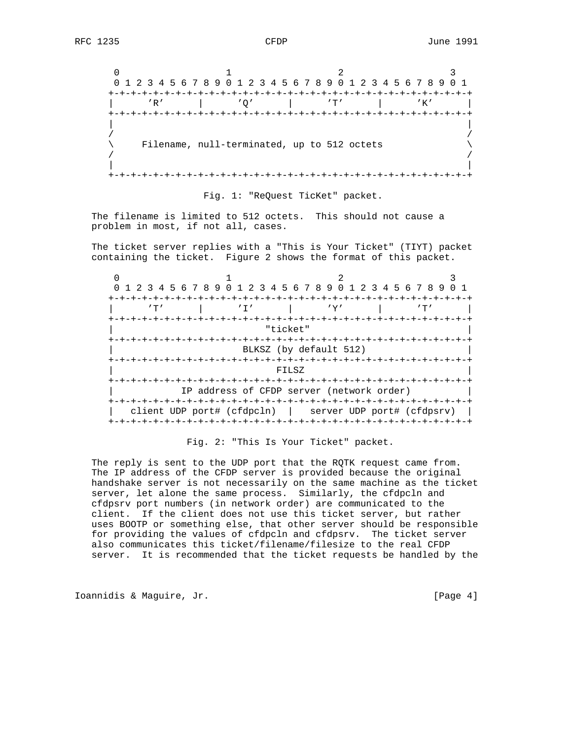$0$  1 2 3 0 1 2 3 4 5 6 7 8 9 0 1 2 3 4 5 6 7 8 9 0 1 2 3 4 5 6 7 8 9 0 1 +-+-+-+-+-+-+-+-+-+-+-+-+-+-+-+-+-+-+-+-+-+-+-+-+-+-+-+-+-+-+-+-+ | 'R' | 'Q' | 'T' | 'K' | +-+-+-+-+-+-+-+-+-+-+-+-+-+-+-+-+-+-+-+-+-+-+-+-+-+-+-+-+-+-+-+-+ | | / / Filename, null-terminated, up to 512 octets / / | | +-+-+-+-+-+-+-+-+-+-+-+-+-+-+-+-+-+-+-+-+-+-+-+-+-+-+-+-+-+-+-+-+

Fig. 1: "ReQuest TicKet" packet.

 The filename is limited to 512 octets. This should not cause a problem in most, if not all, cases.

 The ticket server replies with a "This is Your Ticket" (TIYT) packet containing the ticket. Figure 2 shows the format of this packet.

| -+-+-+-+-+-+-+-+-+<br>"ticket"<br>-+-+-+-+-+-+-+-+-+-+-+-+-+-<br>BLKSZ (by default 512)<br>+-+-+-+-+-+-+-+-+-+<br>FILSZ |  | 0 1 2 3 4 5 6 7 8 9 0 1 2 3 4 5 6 7 8 9 0 1 2 3 4 5 6 7 8 9<br>$^{\prime}$ T $^{\prime}$ |  |  | $'$ T $'$ |  |  | -+-+-+-+-+- |  | 'Y' |  |  |  |  |  |
|-------------------------------------------------------------------------------------------------------------------------|--|------------------------------------------------------------------------------------------|--|--|-----------|--|--|-------------|--|-----|--|--|--|--|--|
|                                                                                                                         |  |                                                                                          |  |  |           |  |  |             |  |     |  |  |  |  |  |
|                                                                                                                         |  |                                                                                          |  |  |           |  |  |             |  |     |  |  |  |  |  |
|                                                                                                                         |  |                                                                                          |  |  |           |  |  |             |  |     |  |  |  |  |  |

Fig. 2: "This Is Your Ticket" packet.

 The reply is sent to the UDP port that the RQTK request came from. The IP address of the CFDP server is provided because the original handshake server is not necessarily on the same machine as the ticket server, let alone the same process. Similarly, the cfdpcln and cfdpsrv port numbers (in network order) are communicated to the client. If the client does not use this ticket server, but rather uses BOOTP or something else, that other server should be responsible for providing the values of cfdpcln and cfdpsrv. The ticket server also communicates this ticket/filename/filesize to the real CFDP server. It is recommended that the ticket requests be handled by the

Ioannidis & Maguire, Jr. [Page 4]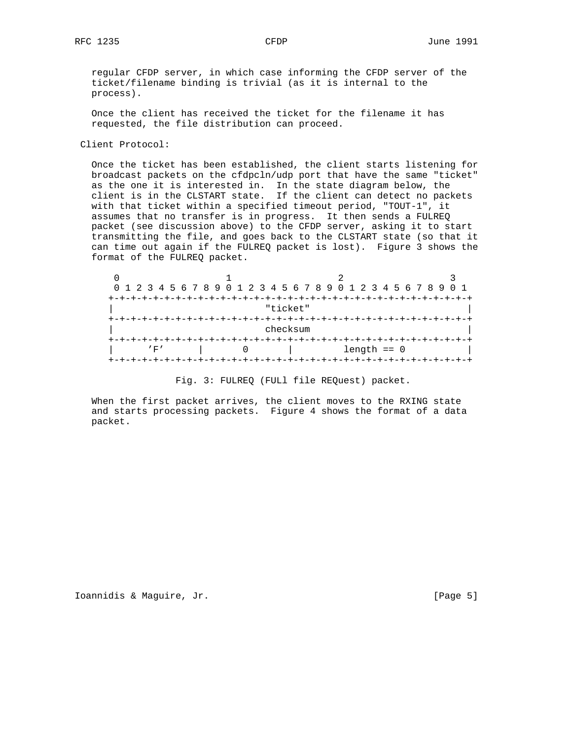regular CFDP server, in which case informing the CFDP server of the ticket/filename binding is trivial (as it is internal to the process).

 Once the client has received the ticket for the filename it has requested, the file distribution can proceed.

Client Protocol:

 Once the ticket has been established, the client starts listening for broadcast packets on the cfdpcln/udp port that have the same "ticket" as the one it is interested in. In the state diagram below, the client is in the CLSTART state. If the client can detect no packets with that ticket within a specified timeout period, "TOUT-1", it assumes that no transfer is in progress. It then sends a FULREQ packet (see discussion above) to the CFDP server, asking it to start transmitting the file, and goes back to the CLSTART state (so that it can time out again if the FULREQ packet is lost). Figure 3 shows the format of the FULREQ packet.

| 0 1 2 3 4 5 6 7 8 9 0 1 2 3 4 5 6 7 8 9 0 1 2 3 4 5 6 7 8 9 0 1 |  |          |                  |  |  |  |  |  |
|-----------------------------------------------------------------|--|----------|------------------|--|--|--|--|--|
|                                                                 |  |          |                  |  |  |  |  |  |
| "ticket"                                                        |  |          |                  |  |  |  |  |  |
|                                                                 |  |          |                  |  |  |  |  |  |
|                                                                 |  | checksum |                  |  |  |  |  |  |
|                                                                 |  |          |                  |  |  |  |  |  |
| $'$ F $'$                                                       |  |          | $l$ ength == $0$ |  |  |  |  |  |
|                                                                 |  |          |                  |  |  |  |  |  |

Fig. 3: FULREQ (FULl file REQuest) packet.

 When the first packet arrives, the client moves to the RXING state and starts processing packets. Figure 4 shows the format of a data packet.

Ioannidis & Maguire, Jr. [Page 5]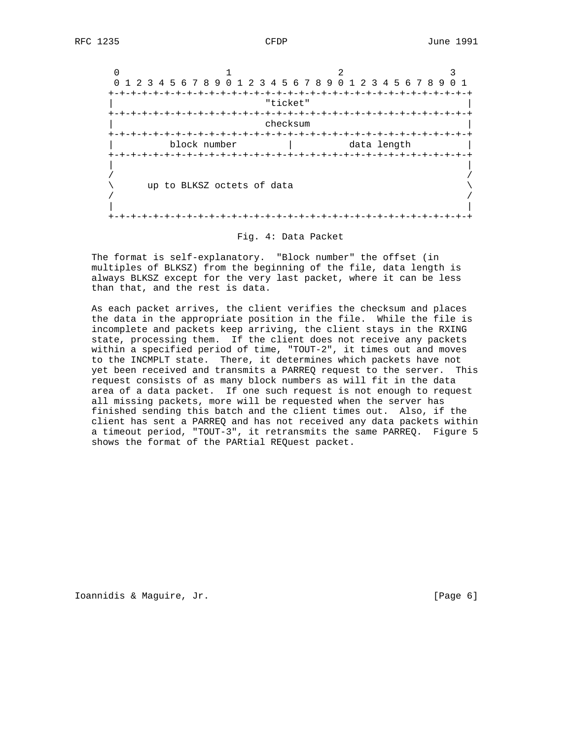| $\Omega$  |                       |                            |          | 1 2 3 4 5 6 7 8 9 0 1 2 3 4 5 6 7 8 9 0 1 2 3 4 5 6 7 8 9 0 1 |  |
|-----------|-----------------------|----------------------------|----------|---------------------------------------------------------------|--|
| ナーナーナーナーナ | +-+-+-+-+-+-+         |                            | "ticket" |                                                               |  |
|           |                       |                            | checksum |                                                               |  |
|           | +-+-+-+-+-+-+-+-+-+-+ | block number               |          | data length                                                   |  |
|           |                       | up to BLKSZ octets of data |          |                                                               |  |

### Fig. 4: Data Packet

 The format is self-explanatory. "Block number" the offset (in multiples of BLKSZ) from the beginning of the file, data length is always BLKSZ except for the very last packet, where it can be less than that, and the rest is data.

 As each packet arrives, the client verifies the checksum and places the data in the appropriate position in the file. While the file is incomplete and packets keep arriving, the client stays in the RXING state, processing them. If the client does not receive any packets within a specified period of time, "TOUT-2", it times out and moves to the INCMPLT state. There, it determines which packets have not yet been received and transmits a PARREQ request to the server. This request consists of as many block numbers as will fit in the data area of a data packet. If one such request is not enough to request all missing packets, more will be requested when the server has finished sending this batch and the client times out. Also, if the client has sent a PARREQ and has not received any data packets within a timeout period, "TOUT-3", it retransmits the same PARREQ. Figure 5 shows the format of the PARtial REQuest packet.

Ioannidis & Maguire, Jr. [Page 6]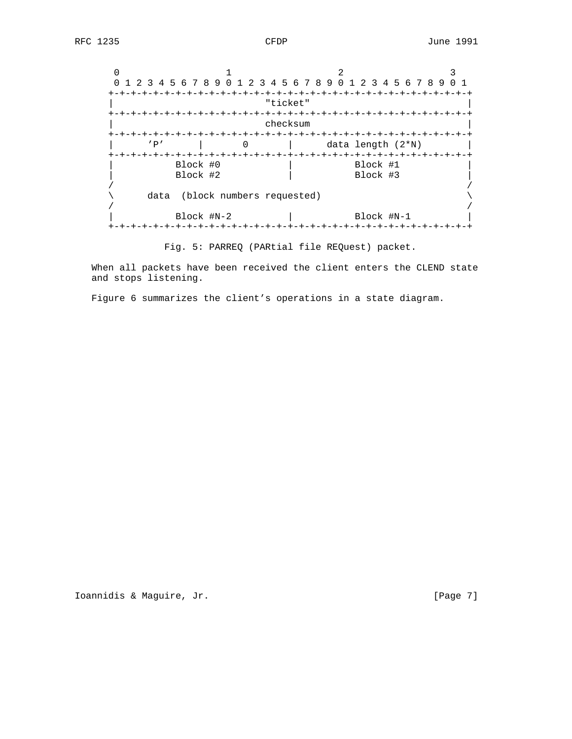$0$  1 2 3 0 1 2 3 4 5 6 7 8 9 0 1 2 3 4 5 6 7 8 9 0 1 2 3 4 5 6 7 8 9 0 1 +-+-+-+-+-+-+-+-+-+-+-+-+-+-+-+-+-+-+-+-+-+-+-+-+-+-+-+-+-+-+-+-+ | "ticket" | +-+-+-+-+-+-+-+-+-+-+-+-+-+-+-+-+-+-+-+-+-+-+-+-+-+-+-+-+-+-+-+-+ checksum +-+-+-+-+-+-+-+-+-+-+-+-+-+-+-+-+-+-+-+-+-+-+-+-+-+-+-+-+-+-+-+-+ | 'P' | 0 | data length (2\*N) | +-+-+-+-+-+-+-+-+-+-+-+-+-+-+-+-+-+-+-+-+-+-+-+-+-+-+-+-+-+-+-+-+ | Block #0 | Block #1 | Block #2 | Block #3 | / / \ data (block numbers requested) \ / / Block #N-2 | Block #N-1 +-+-+-+-+-+-+-+-+-+-+-+-+-+-+-+-+-+-+-+-+-+-+-+-+-+-+-+-+-+-+-+-+

Fig. 5: PARREQ (PARtial file REQuest) packet.

 When all packets have been received the client enters the CLEND state and stops listening.

Figure 6 summarizes the client's operations in a state diagram.

Ioannidis & Maguire, Jr. [Page 7]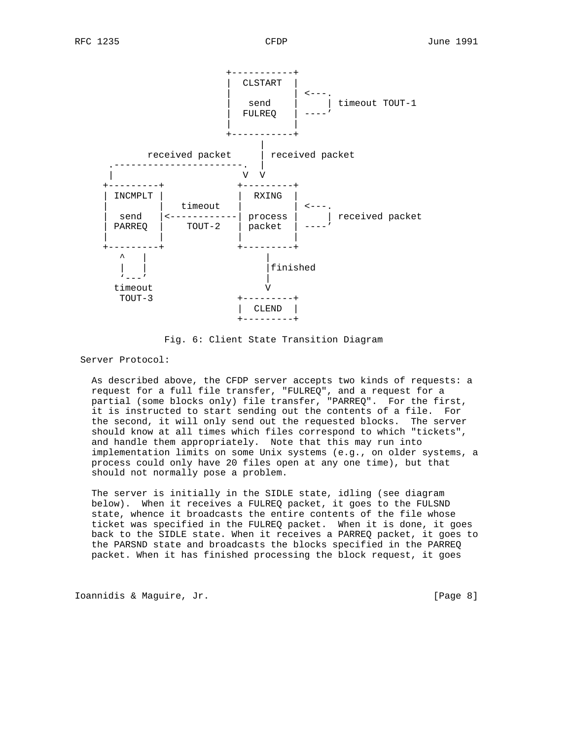

Fig. 6: Client State Transition Diagram

Server Protocol:

 As described above, the CFDP server accepts two kinds of requests: a request for a full file transfer, "FULREQ", and a request for a partial (some blocks only) file transfer, "PARREQ". For the first, it is instructed to start sending out the contents of a file. For the second, it will only send out the requested blocks. The server should know at all times which files correspond to which "tickets", and handle them appropriately. Note that this may run into implementation limits on some Unix systems (e.g., on older systems, a process could only have 20 files open at any one time), but that should not normally pose a problem.

 The server is initially in the SIDLE state, idling (see diagram below). When it receives a FULREQ packet, it goes to the FULSND state, whence it broadcasts the entire contents of the file whose ticket was specified in the FULREQ packet. When it is done, it goes back to the SIDLE state. When it receives a PARREQ packet, it goes to the PARSND state and broadcasts the blocks specified in the PARREQ packet. When it has finished processing the block request, it goes

Ioannidis & Maguire, Jr. [Page 8]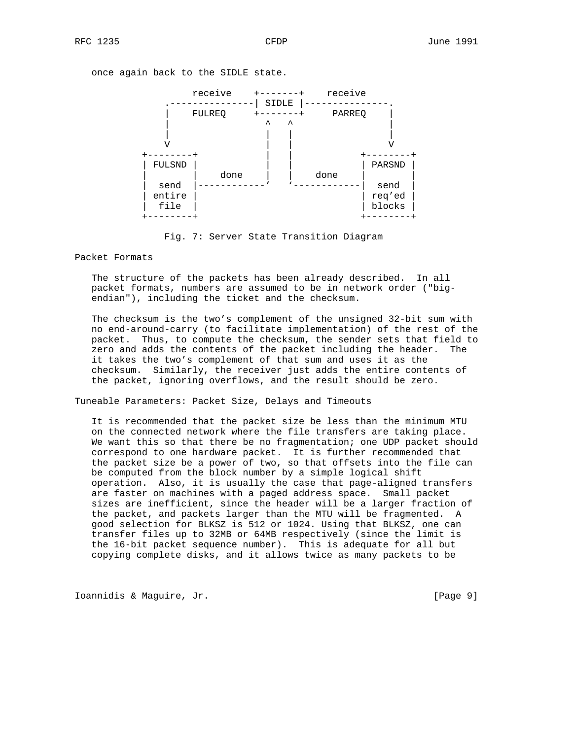once again back to the SIDLE state.



Fig. 7: Server State Transition Diagram

Packet Formats

 The structure of the packets has been already described. In all packet formats, numbers are assumed to be in network order ("big endian"), including the ticket and the checksum.

 The checksum is the two's complement of the unsigned 32-bit sum with no end-around-carry (to facilitate implementation) of the rest of the packet. Thus, to compute the checksum, the sender sets that field to zero and adds the contents of the packet including the header. The it takes the two's complement of that sum and uses it as the checksum. Similarly, the receiver just adds the entire contents of the packet, ignoring overflows, and the result should be zero.

Tuneable Parameters: Packet Size, Delays and Timeouts

 It is recommended that the packet size be less than the minimum MTU on the connected network where the file transfers are taking place. We want this so that there be no fragmentation; one UDP packet should correspond to one hardware packet. It is further recommended that the packet size be a power of two, so that offsets into the file can be computed from the block number by a simple logical shift operation. Also, it is usually the case that page-aligned transfers are faster on machines with a paged address space. Small packet sizes are inefficient, since the header will be a larger fraction of the packet, and packets larger than the MTU will be fragmented. A good selection for BLKSZ is 512 or 1024. Using that BLKSZ, one can transfer files up to 32MB or 64MB respectively (since the limit is the 16-bit packet sequence number). This is adequate for all but copying complete disks, and it allows twice as many packets to be

Ioannidis & Maguire, Jr. [Page 9]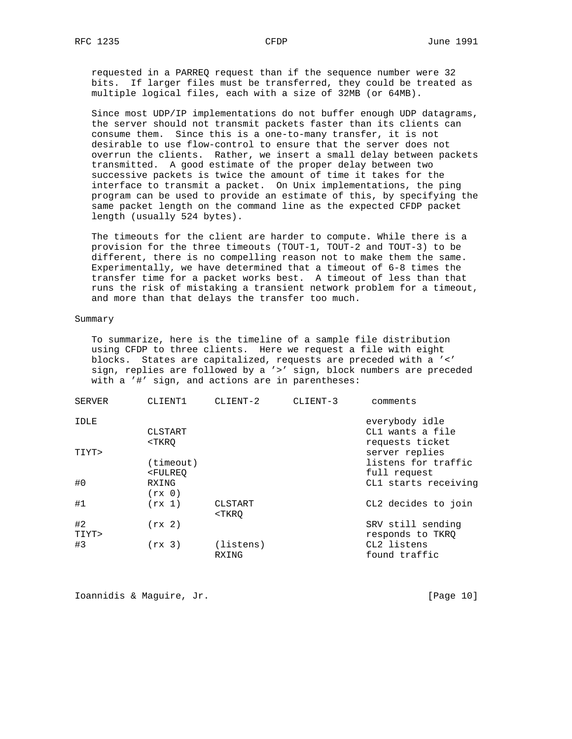requested in a PARREQ request than if the sequence number were 32 bits. If larger files must be transferred, they could be treated as multiple logical files, each with a size of 32MB (or 64MB).

 Since most UDP/IP implementations do not buffer enough UDP datagrams, the server should not transmit packets faster than its clients can consume them. Since this is a one-to-many transfer, it is not desirable to use flow-control to ensure that the server does not overrun the clients. Rather, we insert a small delay between packets transmitted. A good estimate of the proper delay between two successive packets is twice the amount of time it takes for the interface to transmit a packet. On Unix implementations, the ping program can be used to provide an estimate of this, by specifying the same packet length on the command line as the expected CFDP packet length (usually 524 bytes).

 The timeouts for the client are harder to compute. While there is a provision for the three timeouts (TOUT-1, TOUT-2 and TOUT-3) to be different, there is no compelling reason not to make them the same. Experimentally, we have determined that a timeout of 6-8 times the transfer time for a packet works best. A timeout of less than that runs the risk of mistaking a transient network problem for a timeout, and more than that delays the transfer too much.

#### Summary

 To summarize, here is the timeline of a sample file distribution using CFDP to three clients. Here we request a file with eight blocks. States are capitalized, requests are preceded with a '<' sign, replies are followed by a '>' sign, block numbers are preceded with a '#' sign, and actions are in parentheses:

| SERVER | CLIENT1                                                          | CLIENT-2                                | CLIENT-3 | comments             |
|--------|------------------------------------------------------------------|-----------------------------------------|----------|----------------------|
| IDLE   |                                                                  |                                         |          | everybody idle       |
|        | CLSTART                                                          |                                         |          | CL1 wants a file     |
|        | <tkro< td=""><td></td><td></td><td>requests ticket</td></tkro<>  |                                         |          | requests ticket      |
| TIYT>  |                                                                  |                                         |          | server replies       |
|        | (timeout)                                                        |                                         |          | listens for traffic  |
|        | <fulreo< td=""><td></td><td></td><td>full request</td></fulreo<> |                                         |          | full request         |
| #0     | RXING                                                            |                                         |          | CL1 starts receiving |
|        | (rx 0)                                                           |                                         |          |                      |
| #1     | (rx 1)                                                           | CLSTART                                 |          | CL2 decides to join  |
|        |                                                                  | <tkro< td=""><td></td><td></td></tkro<> |          |                      |
| #2     | (rx 2)                                                           |                                         |          | SRV still sending    |
| TIYT>  |                                                                  |                                         |          | responds to TKRQ     |
| #3     | (rx 3)                                                           | (listens)                               |          | CL2 listens          |
|        |                                                                  | RXING                                   |          | found traffic        |
|        |                                                                  |                                         |          |                      |

Ioannidis & Maguire, Jr. [Page 10]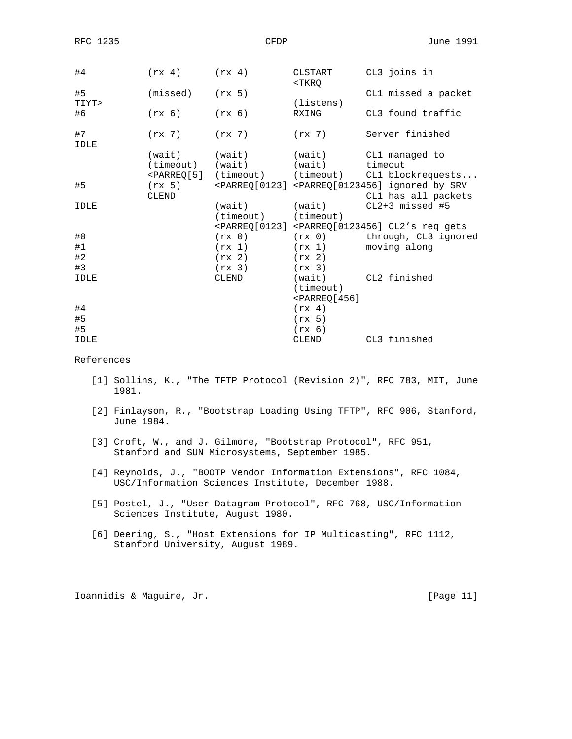| #4          | $(rx 4)$ $(rx 4)$   |                                 | CLSTART<br>$<$ T $KRO$    | CL3 joins in                                                                              |
|-------------|---------------------|---------------------------------|---------------------------|-------------------------------------------------------------------------------------------|
| #5          | $(missed)$ $(rx 5)$ |                                 |                           | CL1 missed a packet                                                                       |
| TIYT>       |                     |                                 | (listens)                 |                                                                                           |
| #6          | (rx 6)              | (rx 6)                          | RXING                     | CL3 found traffic                                                                         |
| #7<br>IDLE  | $(rx 7)$ $(rx 7)$   |                                 | (rx 7)                    | Server finished                                                                           |
|             | (wait) (wait)       |                                 | (wait)                    | CL1 managed to                                                                            |
|             |                     | (timeout) (wait) (wait) timeout |                           |                                                                                           |
|             |                     |                                 |                           | <parreq[5] (timeout)="" blockrequests<="" cl1="" td=""></parreq[5]>                       |
| #5          |                     |                                 |                           | $(rx 5)$ <parreq[0123] <parreq[0123456]="" by="" ignored="" srv<="" td=""></parreq[0123]> |
|             | CLEND               |                                 |                           | CL1 has all packets                                                                       |
| <b>IDLE</b> |                     | (wait) (wait)                   |                           | $CL2+3$ missed #5                                                                         |
|             |                     | (timeout) (timeout)             |                           |                                                                                           |
|             |                     |                                 |                           | <parreq[0123] <parreq[0123456]="" cl2's="" gets<="" req="" td=""></parreq[0123]>          |
| #0          |                     |                                 |                           | $(rx 0)$ $(rx 0)$ through, $CL3$ ignored                                                  |
| #1          |                     | (rx 1)                          | (rx 1)                    | moving along                                                                              |
| #2          |                     | (rx 2)                          | (rx 2)                    |                                                                                           |
| #3          |                     | (rx 3)                          | (rx 3)                    |                                                                                           |
| IDLE        |                     | CLEND                           | (wait)                    | CL2 finished                                                                              |
|             |                     |                                 | (timeout)                 |                                                                                           |
|             |                     |                                 | $\epsilon$ PARREQ $[456]$ |                                                                                           |
| #4          |                     |                                 | (rx 4)                    |                                                                                           |
| #5          |                     |                                 | (rx 5)                    |                                                                                           |
| #5          |                     |                                 | (rx 6)                    |                                                                                           |
| IDLE        |                     |                                 | CLEND                     | CL3 finished                                                                              |

# References

- [1] Sollins, K., "The TFTP Protocol (Revision 2)", RFC 783, MIT, June 1981.
- [2] Finlayson, R., "Bootstrap Loading Using TFTP", RFC 906, Stanford, June 1984.
- [3] Croft, W., and J. Gilmore, "Bootstrap Protocol", RFC 951, Stanford and SUN Microsystems, September 1985.
- [4] Reynolds, J., "BOOTP Vendor Information Extensions", RFC 1084, USC/Information Sciences Institute, December 1988.
- [5] Postel, J., "User Datagram Protocol", RFC 768, USC/Information Sciences Institute, August 1980.
- [6] Deering, S., "Host Extensions for IP Multicasting", RFC 1112, Stanford University, August 1989.

Ioannidis & Maguire, Jr. [Page 11]